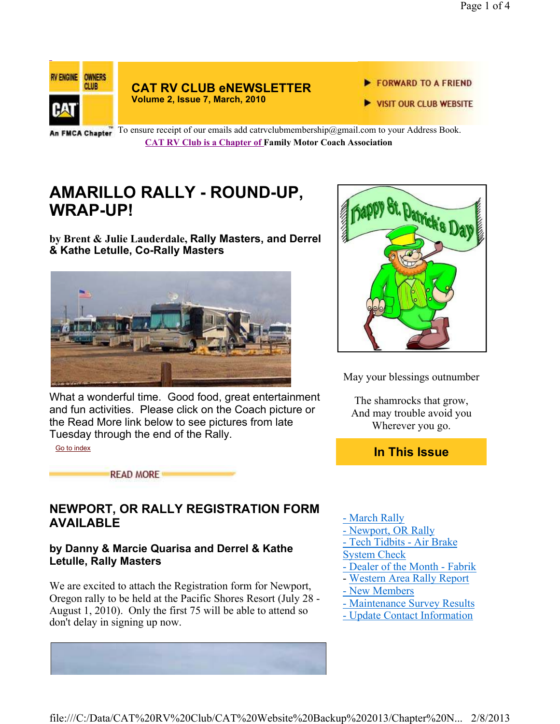

**CAT RV CLUB eNEWSLETTER Volume 2, Issue 7, March, 2010**

- FORWARD TO A FRIEND
- VISIT OUR CLUB WEBSITE

An FMCA Chapter To ensure receipt of our emails add catrvclubmembership@gmail.com to your Address Book. **CAT RV Club is a Chapter of Family Motor Coach Association** 

## **AMARILLO RALLY - ROUND-UP, WRAP-UP!**

**by Brent & Julie Lauderdale, Rally Masters, and Derrel & Kathe Letulle, Co-Rally Masters**



What a wonderful time. Good food, great entertainment and fun activities. Please click on the Coach picture or the Read More link below to see pictures from late Tuesday through the end of the Rally.

Go to index

**READ MORE** 

### **NEWPORT, OR RALLY REGISTRATION FORM AVAILABLE**

#### **by Danny & Marcie Quarisa and Derrel & Kathe Letulle, Rally Masters**

We are excited to attach the Registration form for Newport, Oregon rally to be held at the Pacific Shores Resort (July 28 - August 1, 2010). Only the first 75 will be able to attend so don't delay in signing up now.



May your blessings outnumber

The shamrocks that grow, And may trouble avoid you Wherever you go.

**In This Issue**

- March Rally
- Newport, OR Rally
- Tech Tidbits Air Brake
- System Check
- Dealer of the Month Fabrik
- Western Area Rally Report
- New Members
- Maintenance Survey Results
- Update Contact Information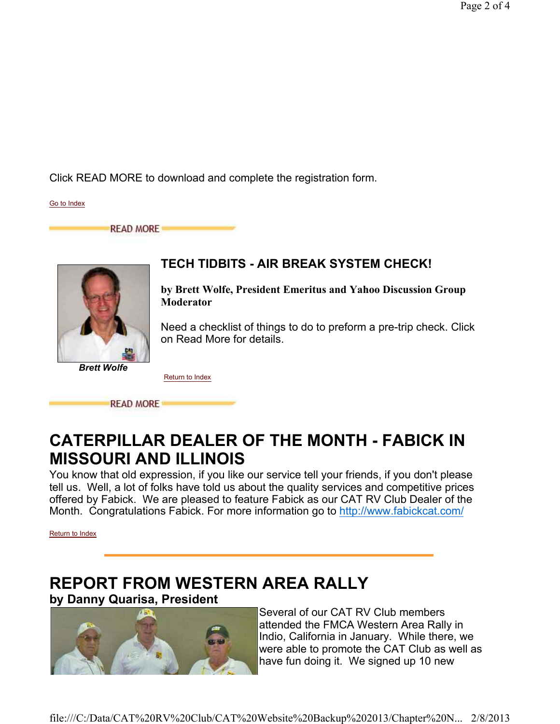Click READ MORE to download and complete the registration form.

Go to Index

**READ MORE** 



### **TECH TIDBITS - AIR BREAK SYSTEM CHECK!**

**by Brett Wolfe, President Emeritus and Yahoo Discussion Group Moderator**

Need a checklist of things to do to preform a pre-trip check. Click on Read More for details.

Return to Index

**READ MORE** 

## **CATERPILLAR DEALER OF THE MONTH - FABICK IN MISSOURI AND ILLINOIS**

You know that old expression, if you like our service tell your friends, if you don't please tell us. Well, a lot of folks have told us about the quality services and competitive prices offered by Fabick. We are pleased to feature Fabick as our CAT RV Club Dealer of the Month. Congratulations Fabick. For more information go to http://www.fabickcat.com/

Return to Index

# **REPORT FROM WESTERN AREA RALLY**

**by Danny Quarisa, President**



Several of our CAT RV Club members attended the FMCA Western Area Rally in Indio, California in January. While there, we were able to promote the CAT Club as well as have fun doing it. We signed up 10 new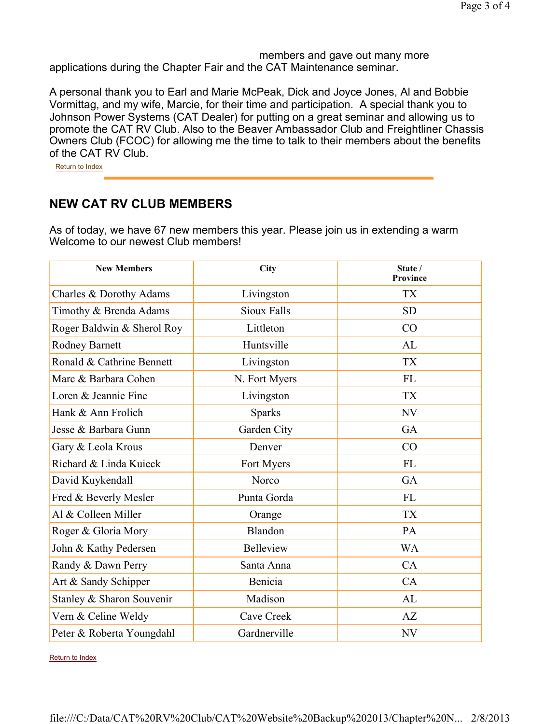members and gave out many more applications during the Chapter Fair and the CAT Maintenance seminar.

A personal thank you to Earl and Marie McPeak, Dick and Joyce Jones, Al and Bobbie Vormittag, and my wife, Marcie, for their time and participation. A special thank you to Johnson Power Systems (CAT Dealer) for putting on a great seminar and allowing us to promote the CAT RV Club. Also to the Beaver Ambassador Club and Freightliner Chassis Owners Club (FCOC) for allowing me the time to talk to their members about the benefits of the CAT RV Club.

Return to Index

### **NEW CAT RV CLUB MEMBERS**

As of today, we have 67 new members this year. Please join us in extending a warm Welcome to our newest Club members!

| <b>New Members</b>         | City               | State /<br>Province |
|----------------------------|--------------------|---------------------|
| Charles & Dorothy Adams    | Livingston         | <b>TX</b>           |
| Timothy & Brenda Adams     | <b>Sioux Falls</b> | <b>SD</b>           |
| Roger Baldwin & Sherol Roy | Littleton          | CO                  |
| Rodney Barnett             | Huntsville         | AL                  |
| Ronald & Cathrine Bennett  | Livingston         | <b>TX</b>           |
| Marc & Barbara Cohen       | N. Fort Myers      | <b>FL</b>           |
| Loren & Jeannie Fine       | Livingston         | <b>TX</b>           |
| Hank & Ann Frolich         | <b>Sparks</b>      | <b>NV</b>           |
| Jesse & Barbara Gunn       | Garden City        | GA                  |
| Gary & Leola Krous         | Denver             | CO                  |
| Richard & Linda Kuieck     | Fort Myers         | <b>FL</b>           |
| David Kuykendall           | Norco              | GA                  |
| Fred & Beverly Mesler      | Punta Gorda        | <b>FL</b>           |
| Al & Colleen Miller        | Orange             | <b>TX</b>           |
| Roger & Gloria Mory        | Blandon            | PA                  |
| John & Kathy Pedersen      | <b>Belleview</b>   | <b>WA</b>           |
| Randy & Dawn Perry         | Santa Anna         | CA                  |
| Art & Sandy Schipper       | Benicia            | CA                  |
| Stanley & Sharon Souvenir  | Madison            | AL                  |
| Vern & Celine Weldy        | Cave Creek         | AZ                  |
| Peter & Roberta Youngdahl  | Gardnerville       | <b>NV</b>           |

Return to Index